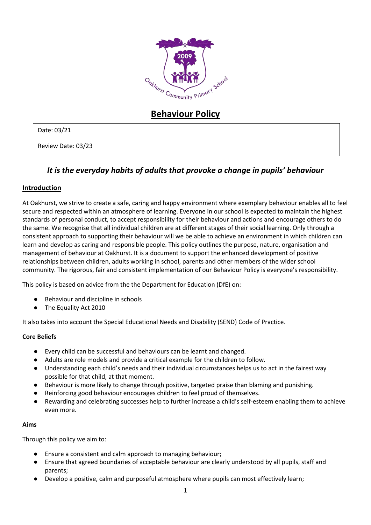

# **Behaviour Policy**

# Date: 03/21

Review Date: 03/23

# *It is the everyday habits of adults that provoke a change in pupils' behaviour*

# **Introduction**

At Oakhurst, we strive to create a safe, caring and happy environment where exemplary behaviour enables all to feel secure and respected within an atmosphere of learning. Everyone in our school is expected to maintain the highest standards of personal conduct, to accept responsibility for their behaviour and actions and encourage others to do the same. We recognise that all individual children are at different stages of their social learning. Only through a consistent approach to supporting their behaviour will we be able to achieve an environment in which children can learn and develop as caring and responsible people. This policy outlines the purpose, nature, organisation and management of behaviour at Oakhurst. It is a document to support the enhanced development of positive relationships between children, adults working in school, parents and other members of the wider school community. The rigorous, fair and consistent implementation of our Behaviour Policy is everyone's responsibility.

This policy is based on advice from the the Department for Education (DfE) on:

- Behaviour and discipline in schools
- The Equality Act 2010

It also takes into account the Special Educational Needs and Disability (SEND) Code of Practice.

# **Core Beliefs**

- Every child can be successful and behaviours can be learnt and changed.
- Adults are role models and provide a critical example for the children to follow.
- Understanding each child's needs and their individual circumstances helps us to act in the fairest way possible for that child, at that moment.
- Behaviour is more likely to change through positive, targeted praise than blaming and punishing.
- Reinforcing good behaviour encourages children to feel proud of themselves.
- Rewarding and celebrating successes help to further increase a child's self-esteem enabling them to achieve even more.

#### **Aims**

Through this policy we aim to:

- Ensure a consistent and calm approach to managing behaviour;
- Ensure that agreed boundaries of acceptable behaviour are clearly understood by all pupils, staff and parents;
- Develop a positive, calm and purposeful atmosphere where pupils can most effectively learn;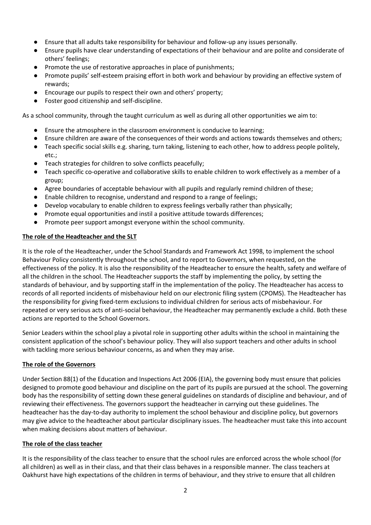- Ensure that all adults take responsibility for behaviour and follow-up any issues personally.
- Ensure pupils have clear understanding of expectations of their behaviour and are polite and considerate of others' feelings;
- Promote the use of restorative approaches in place of punishments;
- Promote pupils' self-esteem praising effort in both work and behaviour by providing an effective system of rewards;
- Encourage our pupils to respect their own and others' property;
- Foster good citizenship and self-discipline.

As a school community, through the taught curriculum as well as during all other opportunities we aim to:

- Ensure the atmosphere in the classroom environment is conducive to learning;
- Ensure children are aware of the consequences of their words and actions towards themselves and others;
- Teach specific social skills e.g. sharing, turn taking, listening to each other, how to address people politely, etc.;
- Teach strategies for children to solve conflicts peacefully;
- Teach specific co-operative and collaborative skills to enable children to work effectively as a member of a group;
- Agree boundaries of acceptable behaviour with all pupils and regularly remind children of these;
- Enable children to recognise, understand and respond to a range of feelings;
- Develop vocabulary to enable children to express feelings verbally rather than physically;
- Promote equal opportunities and instil a positive attitude towards differences;
- Promote peer support amongst everyone within the school community.

#### **The role of the Headteacher and the SLT**

It is the role of the Headteacher, under the School Standards and Framework Act 1998, to implement the school Behaviour Policy consistently throughout the school, and to report to Governors, when requested, on the effectiveness of the policy. It is also the responsibility of the Headteacher to ensure the health, safety and welfare of all the children in the school. The Headteacher supports the staff by implementing the policy, by setting the standards of behaviour, and by supporting staff in the implementation of the policy. The Headteacher has access to records of all reported incidents of misbehaviour held on our electronic filing system (CPOMS). The Headteacher has the responsibility for giving fixed-term exclusions to individual children for serious acts of misbehaviour. For repeated or very serious acts of anti-social behaviour, the Headteacher may permanently exclude a child. Both these actions are reported to the School Governors.

Senior Leaders within the school play a pivotal role in supporting other adults within the school in maintaining the consistent application of the school's behaviour policy. They will also support teachers and other adults in school with tackling more serious behaviour concerns, as and when they may arise.

#### **The role of the Governors**

Under Section 88(1) of the Education and Inspections Act 2006 (EIA), the governing body must ensure that policies designed to promote good behaviour and discipline on the part of its pupils are pursued at the school. The governing body has the responsibility of setting down these general guidelines on standards of discipline and behaviour, and of reviewing their effectiveness. The governors support the headteacher in carrying out these guidelines. The headteacher has the day-to-day authority to implement the school behaviour and discipline policy, but governors may give advice to the headteacher about particular disciplinary issues. The headteacher must take this into account when making decisions about matters of behaviour.

#### **The role of the class teacher**

It is the responsibility of the class teacher to ensure that the school rules are enforced across the whole school (for all children) as well as in their class, and that their class behaves in a responsible manner. The class teachers at Oakhurst have high expectations of the children in terms of behaviour, and they strive to ensure that all children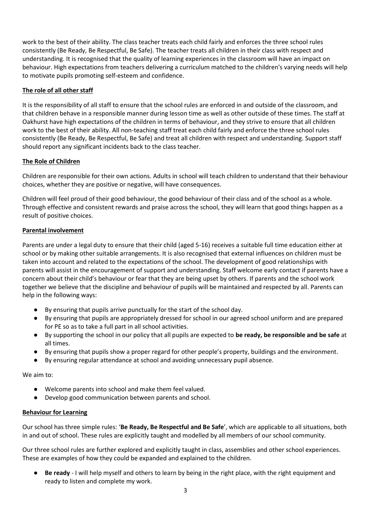work to the best of their ability. The class teacher treats each child fairly and enforces the three school rules consistently (Be Ready, Be Respectful, Be Safe). The teacher treats all children in their class with respect and understanding. It is recognised that the quality of learning experiences in the classroom will have an impact on behaviour. High expectations from teachers delivering a curriculum matched to the children's varying needs will help to motivate pupils promoting self-esteem and confidence.

# **The role of all other staff**

It is the responsibility of all staff to ensure that the school rules are enforced in and outside of the classroom, and that children behave in a responsible manner during lesson time as well as other outside of these times. The staff at Oakhurst have high expectations of the children in terms of behaviour, and they strive to ensure that all children work to the best of their ability. All non-teaching staff treat each child fairly and enforce the three school rules consistently (Be Ready, Be Respectful, Be Safe) and treat all children with respect and understanding. Support staff should report any significant incidents back to the class teacher.

# **The Role of Children**

Children are responsible for their own actions. Adults in school will teach children to understand that their behaviour choices, whether they are positive or negative, will have consequences.

Children will feel proud of their good behaviour, the good behaviour of their class and of the school as a whole. Through effective and consistent rewards and praise across the school, they will learn that good things happen as a result of positive choices.

# **Parental involvement**

Parents are under a legal duty to ensure that their child (aged 5-16) receives a suitable full time education either at school or by making other suitable arrangements. It is also recognised that external influences on children must be taken into account and related to the expectations of the school. The development of good relationships with parents will assist in the encouragement of support and understanding. Staff welcome early contact if parents have a concern about their child's behaviour or fear that they are being upset by others. If parents and the school work together we believe that the discipline and behaviour of pupils will be maintained and respected by all. Parents can help in the following ways:

- By ensuring that pupils arrive punctually for the start of the school day.
- By ensuring that pupils are appropriately dressed for school in our agreed school uniform and are prepared for PE so as to take a full part in all school activities.
- By supporting the school in our policy that all pupils are expected to **be ready, be responsible and be safe** at all times.
- By ensuring that pupils show a proper regard for other people's property, buildings and the environment.
- By ensuring regular attendance at school and avoiding unnecessary pupil absence.

We aim to:

- Welcome parents into school and make them feel valued.
- Develop good communication between parents and school.

# **Behaviour for Learning**

Our school has three simple rules: '**Be Ready, Be Respectful and Be Safe**', which are applicable to all situations, both in and out of school. These rules are explicitly taught and modelled by all members of our school community.

Our three school rules are further explored and explicitly taught in class, assemblies and other school experiences. These are examples of how they could be expanded and explained to the children.

**Be ready** - I will help myself and others to learn by being in the right place, with the right equipment and ready to listen and complete my work.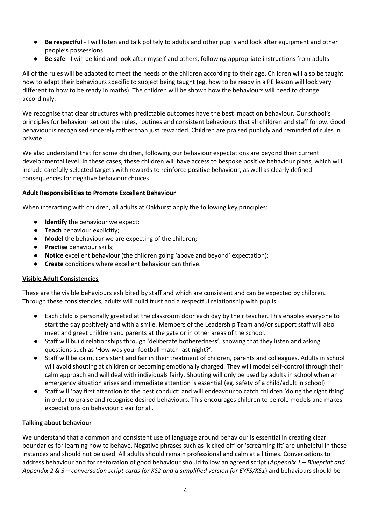- **Be respectful** I will listen and talk politely to adults and other pupils and look after equipment and other people's possessions.
- **Be safe** I will be kind and look after myself and others, following appropriate instructions from adults.

All of the rules will be adapted to meet the needs of the children according to their age. Children will also be taught how to adapt their behaviours specific to subject being taught (eg. how to be ready in a PE lesson will look very different to how to be ready in maths). The children will be shown how the behaviours will need to change accordingly.

We recognise that clear structures with predictable outcomes have the best impact on behaviour. Our school's principles for behaviour set out the rules, routines and consistent behaviours that all children and staff follow. Good behaviour is recognised sincerely rather than just rewarded. Children are praised publicly and reminded of rules in private.

We also understand that for some children, following our behaviour expectations are beyond their current developmental level. In these cases, these children will have access to bespoke positive behaviour plans, which will include carefully selected targets with rewards to reinforce positive behaviour, as well as clearly defined consequences for negative behaviour choices.

#### **Adult Responsibilities to Promote Excellent Behaviour**

When interacting with children, all adults at Oakhurst apply the following key principles:

- **Identify** the behaviour we expect;
- **Teach** behaviour explicitly;
- **Model** the behaviour we are expecting of the children;
- **Practise** behaviour skills;
- **Notice** excellent behaviour (the children going 'above and beyond' expectation);
- **Create** conditions where excellent behaviour can thrive.

# **Visible Adult Consistencies**

These are the visible behaviours exhibited by staff and which are consistent and can be expected by children. Through these consistencies, adults will build trust and a respectful relationship with pupils.

- Each child is personally greeted at the classroom door each day by their teacher. This enables everyone to start the day positively and with a smile. Members of the Leadership Team and/or support staff will also meet and greet children and parents at the gate or in other areas of the school.
- Staff will build relationships through 'deliberate botheredness', showing that they listen and asking questions such as 'How was your football match last night?'.
- Staff will be calm, consistent and fair in their treatment of children, parents and colleagues. Adults in school will avoid shouting at children or becoming emotionally charged. They will model self-control through their calm approach and will deal with individuals fairly. Shouting will only be used by adults in school when an emergency situation arises and immediate attention is essential (eg. safety of a child/adult in school)
- Staff will 'pay first attention to the best conduct' and will endeavour to catch children 'doing the right thing' in order to praise and recognise desired behaviours. This encourages children to be role models and makes expectations on behaviour clear for all.

# **Talking about behaviour**

We understand that a common and consistent use of language around behaviour is essential in creating clear boundaries for learning how to behave. Negative phrases such as 'kicked off' or 'screaming fit' are unhelpful in these instances and should not be used. All adults should remain professional and calm at all times. Conversations to address behaviour and for restoration of good behaviour should follow an agreed script (*Appendix 1 – Blueprint and Appendix 2 & 3 – conversation script cards for KS2 and a simplified version for EYFS/KS1*) and behaviours should be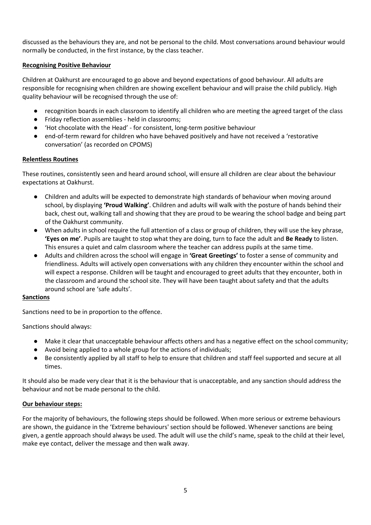discussed as the behaviours they are, and not be personal to the child. Most conversations around behaviour would normally be conducted, in the first instance, by the class teacher.

#### **Recognising Positive Behaviour**

Children at Oakhurst are encouraged to go above and beyond expectations of good behaviour. All adults are responsible for recognising when children are showing excellent behaviour and will praise the child publicly. High quality behaviour will be recognised through the use of:

- recognition boards in each classroom to identify all children who are meeting the agreed target of the class
- Friday reflection assemblies held in classrooms;
- 'Hot chocolate with the Head' for consistent, long-term positive behaviour
- end-of-term reward for children who have behaved positively and have not received a 'restorative conversation' (as recorded on CPOMS)

#### **Relentless Routines**

These routines, consistently seen and heard around school, will ensure all children are clear about the behaviour expectations at Oakhurst.

- Children and adults will be expected to demonstrate high standards of behaviour when moving around school, by displaying **'Proud Walking'**. Children and adults will walk with the posture of hands behind their back, chest out, walking tall and showing that they are proud to be wearing the school badge and being part of the Oakhurst community.
- When adults in school require the full attention of a class or group of children, they will use the key phrase, **'Eyes on me'**. Pupils are taught to stop what they are doing, turn to face the adult and **Be Ready** to listen. This ensures a quiet and calm classroom where the teacher can address pupils at the same time.
- Adults and children across the school will engage in **'Great Greetings'** to foster a sense of community and friendliness. Adults will actively open conversations with any children they encounter within the school and will expect a response. Children will be taught and encouraged to greet adults that they encounter, both in the classroom and around the school site. They will have been taught about safety and that the adults around school are 'safe adults'.

#### **Sanctions**

Sanctions need to be in proportion to the offence.

Sanctions should always:

- Make it clear that unacceptable behaviour affects others and has a negative effect on the school community;
- Avoid being applied to a whole group for the actions of individuals;
- Be consistently applied by all staff to help to ensure that children and staff feel supported and secure at all times.

It should also be made very clear that it is the behaviour that is unacceptable, and any sanction should address the behaviour and not be made personal to the child.

#### **Our behaviour steps:**

For the majority of behaviours, the following steps should be followed. When more serious or extreme behaviours are shown, the guidance in the 'Extreme behaviours' section should be followed. Whenever sanctions are being given, a gentle approach should always be used. The adult will use the child's name, speak to the child at their level, make eye contact, deliver the message and then walk away.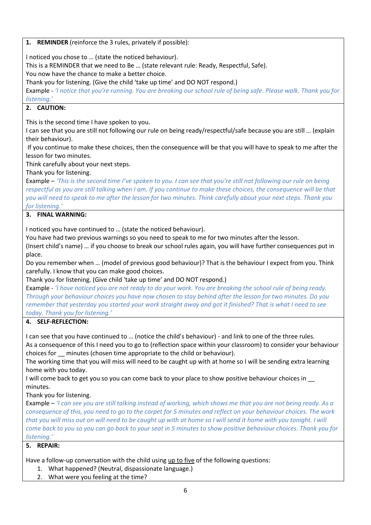# **1. REMINDER** (reinforce the 3 rules, privately if possible):

I noticed you chose to … (state the noticed behaviour).

This is a REMINDER that we need to Be … (state relevant rule: Ready, Respectful, Safe).

You now have the chance to make a better choice.

Thank you for listening. (Give the child 'take up time' and DO NOT respond.)

Example - *'I notice that you're running. You are breaking our school rule of being safe. Please walk. Thank you for listening.'*

# **2. CAUTION:**

This is the second time I have spoken to you.

I can see that you are still not following our rule on being ready/respectful/safe because you are still … (explain their behaviour).

If you continue to make these choices, then the consequence will be that you will have to speak to me after the lesson for two minutes.

Think carefully about your next steps.

Thank you for listening.

Example – *'This is the second time I've spoken to you. I can see that you're still not following our rule on being respectful as you are still talking when I am. If you continue to make these choices, the consequence will be that you will need to speak to me after the lesson for two minutes. Think carefully about your next steps. Thank you for listening.'*

# **3. FINAL WARNING:**

I noticed you have continued to … (state the noticed behaviour).

You have had two previous warnings so you need to speak to me for two minutes after the lesson.

(Insert child's name) … if you choose to break our school rules again, you will have further consequences put in place.

Do you remember when … (model of previous good behaviour)? That is the behaviour I expect from you. Think carefully. I know that you can make good choices.

Thank you for listening. (Give child 'take up time' and DO NOT respond.)

Example - *'I have noticed you are not ready to do your work. You are breaking the school rule of being ready. Through your behaviour choices you have now chosen to stay behind after the lesson for two minutes. Do you remember that yesterday you started your work straight away and got it finished? That is what I need to see today. Thank you for listening.'*

# **4. SELF-REFLECTION:**

I can see that you have continued to … (notice the child's behaviour) - and link to one of the three rules. As a consequence of this I need you to go to (reflection space within your classroom) to consider your behaviour choices for \_\_ minutes (chosen time appropriate to the child or behaviour).

The working time that you will miss will need to be caught up with at home so I will be sending extra learning home with you today.

I will come back to get you so you can come back to your place to show positive behaviour choices in minutes.

Thank you for listening.

Example – *'I can see you are still talking instead of working, which shows me that you are not being ready. As a consequence of this, you need to go to the carpet for 5 minutes and reflect on your behaviour choices. The work that you will miss out on will need to be caught up with at home so I will send it home with you tonight. I will come back to you so you can go back to your seat in 5 minutes to show positive behaviour choices. Thank you for listening.'*

# **5. REPAIR:**

Have a follow-up conversation with the child using up to five of the following questions:

- 1. What happened? (Neutral, dispassionate language.)
- 2. What were you feeling at the time?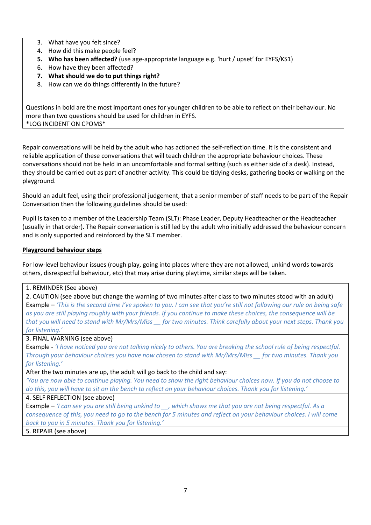- 3. What have you felt since?
- 4. How did this make people feel?
- **5. Who has been affected?** (use age-appropriate language e.g. 'hurt / upset' for EYFS/KS1)
- 6. How have they been affected?
- **7. What should we do to put things right?**
- 8. How can we do things differently in the future?

Questions in bold are the most important ones for younger children to be able to reflect on their behaviour. No more than two questions should be used for children in EYFS. \*LOG INCIDENT ON CPOMS\*

Repair conversations will be held by the adult who has actioned the self-reflection time. It is the consistent and reliable application of these conversations that will teach children the appropriate behaviour choices. These conversations should not be held in an uncomfortable and formal setting (such as either side of a desk). Instead, they should be carried out as part of another activity. This could be tidying desks, gathering books or walking on the playground.

Should an adult feel, using their professional judgement, that a senior member of staff needs to be part of the Repair Conversation then the following guidelines should be used:

Pupil is taken to a member of the Leadership Team (SLT): Phase Leader, Deputy Headteacher or the Headteacher (usually in that order). The Repair conversation is still led by the adult who initially addressed the behaviour concern and is only supported and reinforced by the SLT member.

# **Playground behaviour steps**

For low-level behaviour issues (rough play, going into places where they are not allowed, unkind words towards others, disrespectful behaviour, etc) that may arise during playtime, similar steps will be taken.

#### 1. REMINDER (See above)

2. CAUTION (see above but change the warning of two minutes after class to two minutes stood with an adult) Example – *'This is the second time I've spoken to you. I can see that you're still not following our rule on being safe as you are still playing roughly with your friends. If you continue to make these choices, the consequence will be that you will need to stand with Mr/Mrs/Miss \_\_ for two minutes. Think carefully about your next steps. Thank you for listening.'*

# 3. FINAL WARNING (see above)

Example - *'I have noticed you are not talking nicely to others. You are breaking the school rule of being respectful. Through your behaviour choices you have now chosen to stand with Mr/Mrs/Miss \_\_ for two minutes. Thank you for listening.'*

# After the two minutes are up, the adult will go back to the child and say:

*'You are now able to continue playing. You need to show the right behaviour choices now. If you do not choose to do this, you will have to sit on the bench to reflect on your behaviour choices. Thank you for listening.'*

# 4. SELF REFLECTION (see above)

Example – *'I can see you are still being unkind to \_\_, which shows me that you are not being respectful. As a consequence of this, you need to go to the bench for 5 minutes and reflect on your behaviour choices. I will come back to you in 5 minutes. Thank you for listening.'*

# 5. REPAIR (see above)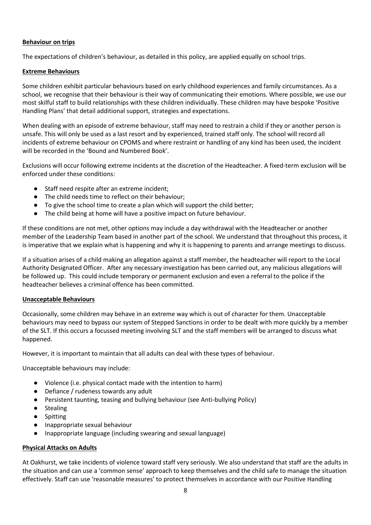#### **Behaviour on trips**

The expectations of children's behaviour, as detailed in this policy, are applied equally on school trips.

#### **Extreme Behaviours**

Some children exhibit particular behaviours based on early childhood experiences and family circumstances. As a school, we recognise that their behaviour is their way of communicating their emotions. Where possible, we use our most skilful staff to build relationships with these children individually. These children may have bespoke 'Positive Handling Plans' that detail additional support, strategies and expectations.

When dealing with an episode of extreme behaviour, staff may need to restrain a child if they or another person is unsafe. This will only be used as a last resort and by experienced, trained staff only. The school will record all incidents of extreme behaviour on CPOMS and where restraint or handling of any kind has been used, the incident will be recorded in the 'Bound and Numbered Book'.

Exclusions will occur following extreme incidents at the discretion of the Headteacher. A fixed-term exclusion will be enforced under these conditions:

- Staff need respite after an extreme incident;
- The child needs time to reflect on their behaviour;
- To give the school time to create a plan which will support the child better;
- The child being at home will have a positive impact on future behaviour.

If these conditions are not met, other options may include a day withdrawal with the Headteacher or another member of the Leadership Team based in another part of the school. We understand that throughout this process, it is imperative that we explain what is happening and why it is happening to parents and arrange meetings to discuss.

If a situation arises of a child making an allegation against a staff member, the headteacher will report to the Local Authority Designated Officer. After any necessary investigation has been carried out, any malicious allegations will be followed up. This could include temporary or permanent exclusion and even a referral to the police if the headteacher believes a criminal offence has been committed.

#### **Unacceptable Behaviours**

Occasionally, some children may behave in an extreme way which is out of character for them. Unacceptable behaviours may need to bypass our system of Stepped Sanctions in order to be dealt with more quickly by a member of the SLT. If this occurs a focussed meeting involving SLT and the staff members will be arranged to discuss what happened.

However, it is important to maintain that all adults can deal with these types of behaviour.

Unacceptable behaviours may include:

- Violence (i.e. physical contact made with the intention to harm)
- Defiance / rudeness towards any adult
- Persistent taunting, teasing and bullying behaviour (see Anti-bullying Policy)
- Stealing
- Spitting
- Inappropriate sexual behaviour
- Inappropriate language (including swearing and sexual language)

#### **Physical Attacks on Adults**

At Oakhurst, we take incidents of violence toward staff very seriously. We also understand that staff are the adults in the situation and can use a 'common sense' approach to keep themselves and the child safe to manage the situation effectively. Staff can use 'reasonable measures' to protect themselves in accordance with our Positive Handling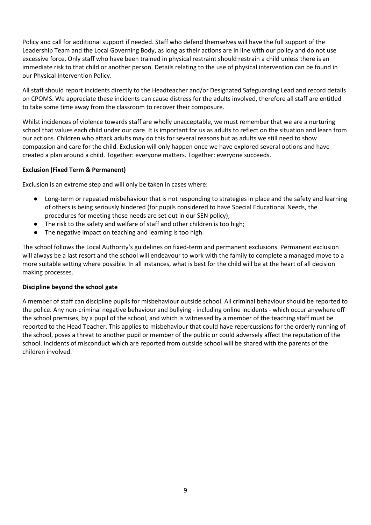Policy and call for additional support if needed. Staff who defend themselves will have the full support of the Leadership Team and the Local Governing Body, as long as their actions are in line with our policy and do not use excessive force. Only staff who have been trained in physical restraint should restrain a child unless there is an immediate risk to that child or another person. Details relating to the use of physical intervention can be found in our Physical Intervention Policy.

All staff should report incidents directly to the Headteacher and/or Designated Safeguarding Lead and record details on CPOMS. We appreciate these incidents can cause distress for the adults involved, therefore all staff are entitled to take some time away from the classroom to recover their composure.

Whilst incidences of violence towards staff are wholly unacceptable, we must remember that we are a nurturing school that values each child under our care. It is important for us as adults to reflect on the situation and learn from our actions. Children who attack adults may do this for several reasons but as adults we still need to show compassion and care for the child. Exclusion will only happen once we have explored several options and have created a plan around a child. Together: everyone matters. Together: everyone succeeds.

#### **Exclusion (Fixed Term & Permanent)**

Exclusion is an extreme step and will only be taken in cases where:

- Long-term or repeated misbehaviour that is not responding to strategies in place and the safety and learning of others is being seriously hindered (for pupils considered to have Special Educational Needs, the procedures for meeting those needs are set out in our SEN policy);
- The risk to the safety and welfare of staff and other children is too high;
- The negative impact on teaching and learning is too high.

The school follows the Local Authority's guidelines on fixed-term and permanent exclusions. Permanent exclusion will always be a last resort and the school will endeavour to work with the family to complete a managed move to a more suitable setting where possible. In all instances, what is best for the child will be at the heart of all decision making processes.

# **Discipline beyond the school gate**

A member of staff can discipline pupils for misbehaviour outside school. All criminal behaviour should be reported to the police. Any non-criminal negative behaviour and bullying - including online incidents - which occur anywhere off the school premises, by a pupil of the school, and which is witnessed by a member of the teaching staff must be reported to the Head Teacher. This applies to misbehaviour that could have repercussions for the orderly running of the school, poses a threat to another pupil or member of the public or could adversely affect the reputation of the school. Incidents of misconduct which are reported from outside school will be shared with the parents of the children involved.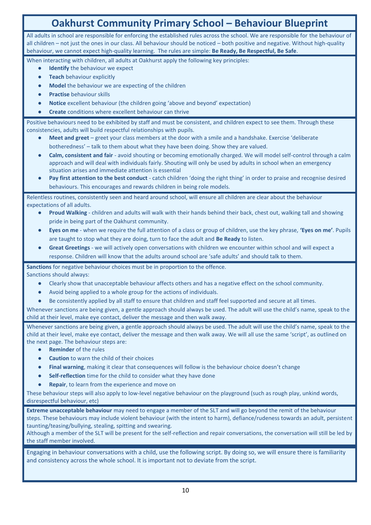# **Oakhurst Community Primary School – Behaviour Blueprint**

All adults in school are responsible for enforcing the established rules across the school. We are responsible for the behaviour of all children – not just the ones in our class. All behaviour should be noticed – both positive and negative. Without high-quality behaviour, we cannot expect high-quality learning. The rules are simple: **Be Ready, Be Respectful, Be Safe**.

When interacting with children, all adults at Oakhurst apply the following key principles:

- **Identify** the behaviour we expect
- **Teach** behaviour explicitly
- **Model** the behaviour we are expecting of the children
- **Practise** behaviour skills
- **Notice** excellent behaviour (the children going 'above and beyond' expectation)
- **Create** conditions where excellent behaviour can thrive

Positive behaviours need to be exhibited by staff and must be consistent, and children expect to see them. Through these consistencies, adults will build respectful relationships with pupils.

- **Meet and greet** greet your class members at the door with a smile and a handshake. Exercise 'deliberate botheredness' – talk to them about what they have been doing. Show they are valued.
- **Calm, consistent and fair** avoid shouting or becoming emotionally charged. We will model self-control through a calm approach and will deal with individuals fairly. Shouting will only be used by adults in school when an emergency situation arises and immediate attention is essential
- Pay first attention to the best conduct catch children 'doing the right thing' in order to praise and recognise desired behaviours. This encourages and rewards children in being role models.

Relentless routines, consistently seen and heard around school, will ensure all children are clear about the behaviour expectations of all adults.

- **Proud Walking** children and adults will walk with their hands behind their back, chest out, walking tall and showing pride in being part of the Oakhurst community.
- **Eyes on me** when we require the full attention of a class or group of children, use the key phrase, **'Eyes on me'**. Pupils are taught to stop what they are doing, turn to face the adult and **Be Ready** to listen.
- Great Greetings we will actively open conversations with children we encounter within school and will expect a response. Children will know that the adults around school are 'safe adults' and should talk to them.

**Sanctions** for negative behaviour choices must be in proportion to the offence.

Sanctions should always:

- Clearly show that unacceptable behaviour affects others and has a negative effect on the school community.
- Avoid being applied to a whole group for the actions of individuals.
- Be consistently applied by all staff to ensure that children and staff feel supported and secure at all times.

Whenever sanctions are being given, a gentle approach should always be used. The adult will use the child's name, speak to the child at their level, make eye contact, deliver the message and then walk away.

Whenever sanctions are being given, a gentle approach should always be used. The adult will use the child's name, speak to the child at their level, make eye contact, deliver the message and then walk away. We will all use the same 'script', as outlined on the next page. The behaviour steps are:

- **Reminder** of the rules
- **Caution** to warn the child of their choices
- **Final warning**, making it clear that consequences will follow is the behaviour choice doesn't change
- **Self-reflection** time for the child to consider what they have done
- **Repair**, to learn from the experience and move on

These behaviour steps will also apply to low-level negative behaviour on the playground (such as rough play, unkind words, disrespectful behaviour, etc)

**Extreme unacceptable behaviour** may need to engage a member of the SLT and will go beyond the remit of the behaviour

steps. These behaviours may include violent behaviour (with the intent to harm), defiance/rudeness towards an adult, persistent taunting/teasing/bullying, stealing, spitting and swearing.

Although a member of the SLT will be present for the self-reflection and repair conversations, the conversation will still be led by the staff member involved.

Engaging in behaviour conversations with a child, use the following script. By doing so, we will ensure there is familiarity and consistency across the whole school. It is important not to deviate from the script.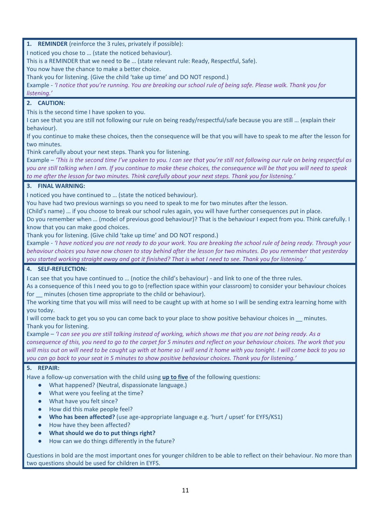# **1. REMINDER** (reinforce the 3 rules, privately if possible):

I noticed you chose to … (state the noticed behaviour).

This is a REMINDER that we need to Be … (state relevant rule: Ready, Respectful, Safe).

You now have the chance to make a better choice.

Thank you for listening. (Give the child 'take up time' and DO NOT respond.)

Example - *'I notice that you're running. You are breaking our school rule of being safe. Please walk. Thank you for listening.'*

#### **2. CAUTION:**

This is the second time I have spoken to you.

I can see that you are still not following our rule on being ready/respectful/safe because you are still … (explain their behaviour).

If you continue to make these choices, then the consequence will be that you will have to speak to me after the lesson for two minutes.

Think carefully about your next steps. Thank you for listening.

Example – *'This is the second time I've spoken to you. I can see that you're still not following our rule on being respectful as you are still talking when I am. If you continue to make these choices, the consequence will be that you will need to speak to me after the lesson for two minutes. Think carefully about your next steps. Thank you for listening.'*

# **3. FINAL WARNING:**

I noticed you have continued to … (state the noticed behaviour).

You have had two previous warnings so you need to speak to me for two minutes after the lesson.

(Child's name) … if you choose to break our school rules again, you will have further consequences put in place.

Do you remember when … (model of previous good behaviour)? That is the behaviour I expect from you. Think carefully. I know that you can make good choices.

Thank you for listening. (Give child 'take up time' and DO NOT respond.)

Example - *'I have noticed you are not ready to do your work. You are breaking the school rule of being ready. Through your behaviour choices you have now chosen to stay behind after the lesson for two minutes. Do you remember that yesterday you started working straight away and got it finished? That is what I need to see. Thank you for listening.'*

#### **4. SELF-REFLECTION:**

I can see that you have continued to … (notice the child's behaviour) - and link to one of the three rules.

As a consequence of this I need you to go to (reflection space within your classroom) to consider your behaviour choices for minutes (chosen time appropriate to the child or behaviour).

The working time that you will miss will need to be caught up with at home so I will be sending extra learning home with you today.

I will come back to get you so you can come back to your place to show positive behaviour choices in \_\_ minutes. Thank you for listening.

Example – *'I can see you are still talking instead of working, which shows me that you are not being ready. As a consequence of this, you need to go to the carpet for 5 minutes and reflect on your behaviour choices. The work that you will miss out on will need to be caught up with at home so I will send it home with you tonight. I will come back to you so you can go back to your seat in 5 minutes to show positive behaviour choices. Thank you for listening.'*

# **5. REPAIR:**

Have a follow-up conversation with the child using **up to five** of the following questions:

- What happened? (Neutral, dispassionate language.)
- What were you feeling at the time?
- What have you felt since?
- How did this make people feel?
- **Who has been affected?** (use age-appropriate language e.g. 'hurt / upset' for EYFS/KS1)
- **How have they been affected?**
- **What should we do to put things right?**
- How can we do things differently in the future?

Questions in bold are the most important ones for younger children to be able to reflect on their behaviour. No more than two questions should be used for children in EYFS.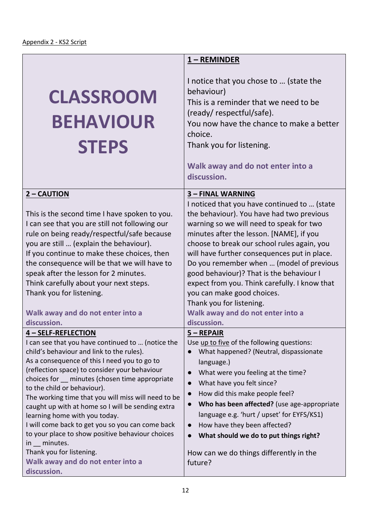|                                                                                                                                                                                                                                                                                                                                                                                                                                                                                                                                                                                | 1 - REMINDER                                                                                                                                                                                                                                                                                                                                                                                                                                                                                                                            |
|--------------------------------------------------------------------------------------------------------------------------------------------------------------------------------------------------------------------------------------------------------------------------------------------------------------------------------------------------------------------------------------------------------------------------------------------------------------------------------------------------------------------------------------------------------------------------------|-----------------------------------------------------------------------------------------------------------------------------------------------------------------------------------------------------------------------------------------------------------------------------------------------------------------------------------------------------------------------------------------------------------------------------------------------------------------------------------------------------------------------------------------|
| <b>CLASSROOM</b><br><b>BEHAVIOUR</b><br><b>STEPS</b>                                                                                                                                                                                                                                                                                                                                                                                                                                                                                                                           | I notice that you chose to  (state the<br>behaviour)<br>This is a reminder that we need to be<br>(ready/respectful/safe).<br>You now have the chance to make a better<br>choice.<br>Thank you for listening.<br>Walk away and do not enter into a<br>discussion.                                                                                                                                                                                                                                                                        |
| 2 – CAUTION                                                                                                                                                                                                                                                                                                                                                                                                                                                                                                                                                                    | <b>3-FINAL WARNING</b>                                                                                                                                                                                                                                                                                                                                                                                                                                                                                                                  |
| This is the second time I have spoken to you.<br>I can see that you are still not following our<br>rule on being ready/respectful/safe because<br>you are still  (explain the behaviour).<br>If you continue to make these choices, then<br>the consequence will be that we will have to<br>speak after the lesson for 2 minutes.<br>Think carefully about your next steps.<br>Thank you for listening.<br>Walk away and do not enter into a<br>discussion.                                                                                                                    | I noticed that you have continued to  (state<br>the behaviour). You have had two previous<br>warning so we will need to speak for two<br>minutes after the lesson. [NAME], if you<br>choose to break our school rules again, you<br>will have further consequences put in place.<br>Do you remember when  (model of previous<br>good behaviour)? That is the behaviour I<br>expect from you. Think carefully. I know that<br>you can make good choices.<br>Thank you for listening.<br>Walk away and do not enter into a<br>discussion. |
| 4 - SELF-REFLECTION                                                                                                                                                                                                                                                                                                                                                                                                                                                                                                                                                            | 5 - REPAIR                                                                                                                                                                                                                                                                                                                                                                                                                                                                                                                              |
| I can see that you have continued to  (notice the<br>child's behaviour and link to the rules).<br>As a consequence of this I need you to go to<br>(reflection space) to consider your behaviour<br>choices for minutes (chosen time appropriate<br>to the child or behaviour).<br>The working time that you will miss will need to be<br>caught up with at home so I will be sending extra<br>learning home with you today.<br>I will come back to get you so you can come back<br>to your place to show positive behaviour choices<br>in minutes.<br>Thank you for listening. | Use up to five of the following questions:<br>What happened? (Neutral, dispassionate<br>language.)<br>What were you feeling at the time?<br>What have you felt since?<br>$\bullet$<br>How did this make people feel?<br>Who has been affected? (use age-appropriate<br>language e.g. 'hurt / upset' for EYFS/KS1)<br>How have they been affected?<br>$\bullet$<br>What should we do to put things right?<br>How can we do things differently in the                                                                                     |
| Walk away and do not enter into a<br>discussion.                                                                                                                                                                                                                                                                                                                                                                                                                                                                                                                               | future?                                                                                                                                                                                                                                                                                                                                                                                                                                                                                                                                 |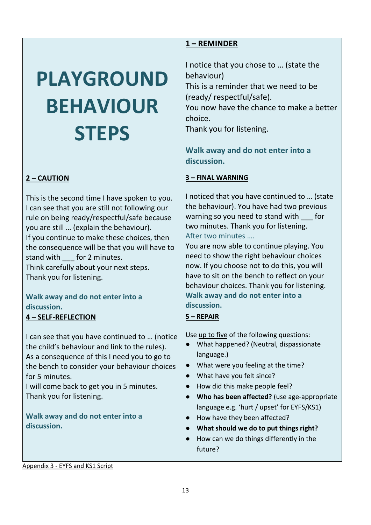| <b>PLAYGROUND</b> |  |
|-------------------|--|
| <b>BEHAVIOUR</b>  |  |
| <b>STEPS</b>      |  |

This is the second time I have spoken to you. I can see that you are still not following our rule on being ready/respectful/safe because

If you continue to make these choices, then the consequence will be that you will have to

you are still … (explain the behaviour).

Think carefully about your next steps.

# **1 – REMINDER**

I notice that you chose to … (state the behaviour) This is a reminder that we need to be (ready/ respectful/safe). You now have the chance to make a better choice. Thank you for listening. **Walk away and do not enter into a discussion. 3 – FINAL WARNING** I noticed that you have continued to … (state the behaviour). You have had two previous warning so you need to stand with for two minutes. Thank you for listening. After two minutes …. You are now able to continue playing. You need to show the right behaviour choices now. If you choose not to do this, you will have to sit on the bench to reflect on your

Thank you for listening.

stand with for 2 minutes.

**Walk away and do not enter into a discussion.**

# **4 – SELF-REFLECTION**

**2 – CAUTION**

I can see that you have continued to … (notice the child's behaviour and link to the rules). As a consequence of this I need you to go to the bench to consider your behaviour choices for 5 minutes.

I will come back to get you in 5 minutes. Thank you for listening.

**Walk away and do not enter into a discussion.**

Use up to five of the following questions:

**Walk away and do not enter into a** 

What happened? (Neutral, dispassionate language.)

behaviour choices. Thank you for listening.

- What were you feeling at the time?
- What have you felt since?

**discussion.**

**5 – REPAIR**

- How did this make people feel?
- **Who has been affected?** (use age-appropriate language e.g. 'hurt / upset' for EYFS/KS1)
- How have they been affected?
- **What should we do to put things right?**
- How can we do things differently in the future?

Appendix 3 - EYFS and KS1 Script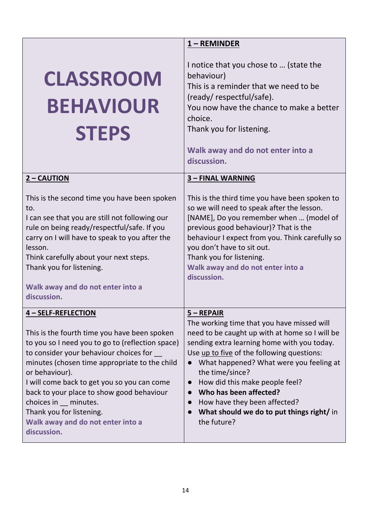| <b>CLASSROOM</b><br><b>BEHAVIOUR</b><br><b>STEPS</b>                                                                                                                                                                                                                                                                                                                                                                                    | 1-REMINDER<br>I notice that you chose to  (state the<br>behaviour)<br>This is a reminder that we need to be<br>(ready/respectful/safe).<br>You now have the chance to make a better<br>choice.<br>Thank you for listening.                                                                                                                                                                                                                   |
|-----------------------------------------------------------------------------------------------------------------------------------------------------------------------------------------------------------------------------------------------------------------------------------------------------------------------------------------------------------------------------------------------------------------------------------------|----------------------------------------------------------------------------------------------------------------------------------------------------------------------------------------------------------------------------------------------------------------------------------------------------------------------------------------------------------------------------------------------------------------------------------------------|
|                                                                                                                                                                                                                                                                                                                                                                                                                                         | Walk away and do not enter into a<br>discussion.                                                                                                                                                                                                                                                                                                                                                                                             |
| 2 – CAUTION                                                                                                                                                                                                                                                                                                                                                                                                                             | 3 - FINAL WARNING                                                                                                                                                                                                                                                                                                                                                                                                                            |
| This is the second time you have been spoken<br>to.<br>I can see that you are still not following our<br>rule on being ready/respectful/safe. If you<br>carry on I will have to speak to you after the<br>lesson.<br>Think carefully about your next steps.<br>Thank you for listening.<br>Walk away and do not enter into a<br>discussion.                                                                                             | This is the third time you have been spoken to<br>so we will need to speak after the lesson.<br>[NAME], Do you remember when  (model of<br>previous good behaviour)? That is the<br>behaviour I expect from you. Think carefully so<br>you don't have to sit out.<br>Thank you for listening.<br>Walk away and do not enter into a<br>discussion.                                                                                            |
| 4 - SELF-REFLECTION<br>This is the fourth time you have been spoken<br>to you so I need you to go to (reflection space)<br>to consider your behaviour choices for<br>minutes (chosen time appropriate to the child<br>or behaviour).<br>I will come back to get you so you can come<br>back to your place to show good behaviour<br>choices in minutes.<br>Thank you for listening.<br>Walk away and do not enter into a<br>discussion. | $5 - REPAIR$<br>The working time that you have missed will<br>need to be caught up with at home so I will be<br>sending extra learning home with you today.<br>Use up to five of the following questions:<br>What happened? What were you feeling at<br>the time/since?<br>How did this make people feel?<br>$\bullet$<br>Who has been affected?<br>How have they been affected?<br>What should we do to put things right/ in<br>the future? |